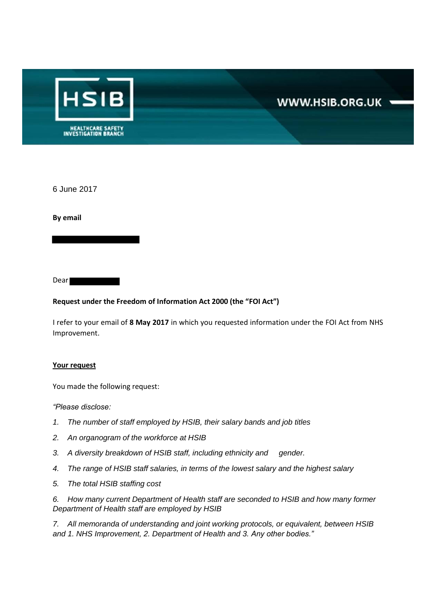

6 June 2017

**By email** 

Dear

#### **Request under the Freedom of Information Act 2000 (the "FOI Act")**

I refer to your email of **8 May 2017** in which you requested information under the FOI Act from NHS Improvement.

#### **Your request**

You made the following request:

*"Please disclose:*

- *1. The number of staff employed by HSIB, their salary bands and job titles*
- *2. An organogram of the workforce at HSIB*
- *3. A diversity breakdown of HSIB staff, including ethnicity and gender.*
- *4. The range of HSIB staff salaries, in terms of the lowest salary and the highest salary*
- *5. The total HSIB staffing cost*

*6. How many current Department of Health staff are seconded to HSIB and how many former Department of Health staff are employed by HSIB* 

*7. All memoranda of understanding and joint working protocols, or equivalent, between HSIB and 1. NHS Improvement, 2. Department of Health and 3. Any other bodies."*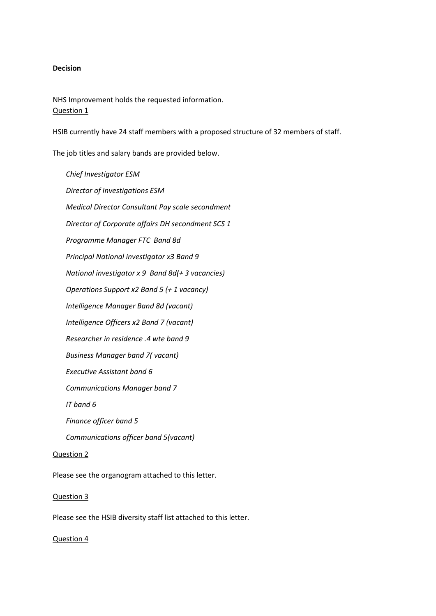#### **Decision**

NHS Improvement holds the requested information. Question 1

HSIB currently have 24 staff members with a proposed structure of 32 members of staff.

The job titles and salary bands are provided below.

*Chief Investigator ESM Director of Investigations ESM Medical Director Consultant Pay scale secondment Director of Corporate affairs DH secondment SCS 1 Programme Manager FTC Band 8d Principal National investigator x3 Band 9 National investigator x 9 Band 8d(+ 3 vacancies) Operations Support x2 Band 5 (+ 1 vacancy) Intelligence Manager Band 8d (vacant) Intelligence Officers x2 Band 7 (vacant) Researcher in residence .4 wte band 9 Business Manager band 7( vacant) Executive Assistant band 6 Communications Manager band 7 IT band 6 Finance officer band 5 Communications officer band 5(vacant)* Question 2

Please see the organogram attached to this letter.

#### Question 3

Please see the HSIB diversity staff list attached to this letter.

#### Question 4